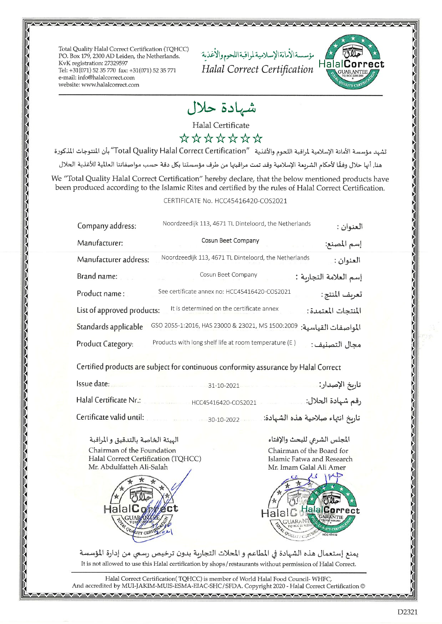Total Quality Halal Correct Certification (TQHCC) PO. Box 179, 2300 AD Leiden, the Netherlands. KvK registration: 27329597 Tel: +31(071) 52 35 770 fax: +31(071) 52 35 771 e-mail: info@halalcorrect.com website: www.halalcorrect.com

مؤسسةالأمانةالإسلاميةلمواقبةاللحوم والأغذية Halal Correct Certification



شهادة حلال

Halal Certificate

\*\*\*\*\*\*\*

تشهد مؤسسة الأمانة الإسلامية لمراقبة اللحوم والأغذية "Total Quality Halal Correct Certification" بأن المنتوجات المذكورة هنا, أنها حلال وفقًا لأحكام الشريعة الإسلامية وقد تمت مراقبتها من طرف مؤسستنا بكل دقة حسب مواصفاتنا العالمية للأغذية الحلال

We "Total Quality Halal Correct Certification" hereby declare, that the below mentioned products have been produced according to the Islamic Rites and certified by the rules of Halal Correct Certification.

## CERTIFICATE No. HCC45416420-COS2021

| Company address:                                                                              | Noordzeedijk 113, 4671 TL Dinteloord, the Netherlands | العنوان :             |  |
|-----------------------------------------------------------------------------------------------|-------------------------------------------------------|-----------------------|--|
| Manufacturer:                                                                                 | Cosun Beet Company                                    | إسم المصنع:           |  |
| Manufacturer address:                                                                         | Noordzeedijk 113, 4671 TL Dinteloord, the Netherlands | العنوان :             |  |
| Brand name:                                                                                   | Cosun Beet Company                                    | إسم العلامة التجارية: |  |
| Product name:                                                                                 | See certificate annex no: HCC45416420-COS2021         | تعريف المنتج:         |  |
| المنتجات المعتمدة:<br>It is determined on the certificate annex<br>List of approved products: |                                                       |                       |  |
| Standards applicable                                                                          | GSO 2055-1:2016, HAS 23000 & 23021, MS 1500:2009      | المواصفات القياسية:   |  |
| Product Category:                                                                             | Products with long shelf life at room temperature (E) | مجال التصنيف:         |  |

Certified products are subject for continuous conformity assurance by Halal Correct

| Issue date:              | $31-10-2021$        | ناريخ الإصدار:                   |
|--------------------------|---------------------|----------------------------------|
| Halal Certificate Nr.:   | HCC45416420-COS2021 | قم شهادة الحلال:                 |
| Certificate valid until: | 30-10-2022          | تاريخ انتهاء صلاحية هذه الشهادة: |

الهيئة الخاصة بالتدقيق والمراقبة Chairman of the Foundation Halal Correct Certification (TQHCC) Mr. Abdulfatteh Ali-Salah



المجلس الشرعى للبحث والإفتاء Chairman of the Board for Islamic Fatwa and Research Mr. Imam Galal Ali Amer



يمنع إستعمال هذه الشهادة في المطاعم و المحلات التجارية بدون ترخيص رسمي من إدارة المؤسسة It is not allowed to use this Halal certification by shops/restaurants without permission of Halal Correct.

Halal Correct Certification(TQHCC) is member of World Halal Food Council-WHFC, @And accredited by MUI-JAKIM-MUIS-ESMA-EIAC-SHC/SFDA. Copyright 2020 - Halal Correct Certification